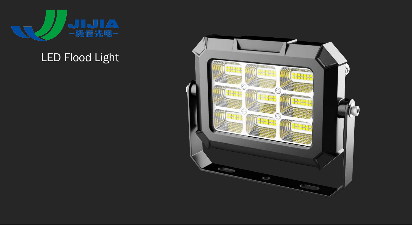

# LED Flood Light

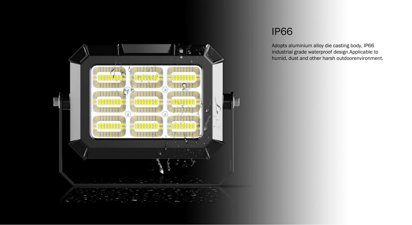

#### IP66

Adopts aluminium alloy die casting body, IP66 industrial grade waterproof design.Applicable to humid, dust and other harsh outdoorenvironment.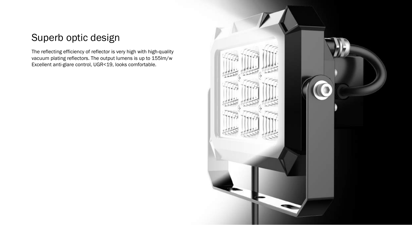### Superb optic design

The reflecting efficiency of reflector is very high with high-quality vacuum plating reflectors. The output lumens is up to 155lm/w Excellent anti-glare control, UGR<19, looks comfortable.

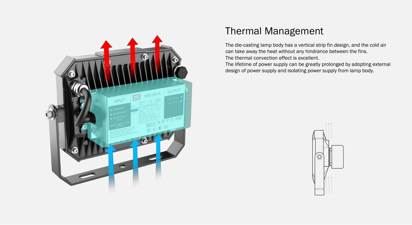

#### Thermal Management

The die-casting lamp body has a vertical strip fin design, and the cold air can take away the heat without any hindrance between the fins. The thermal convection effect is excellent.

The lifetime of power supply can be greatly prolonged by adopting external design of power supply and isolating power supply from lamp body.

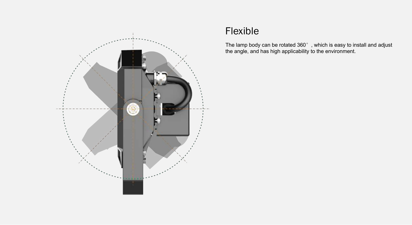

### Flexible

The lamp body can be rotated  $360^{\circ}$  , which is easy to install and adjust the angle, and has high applicability to the environment.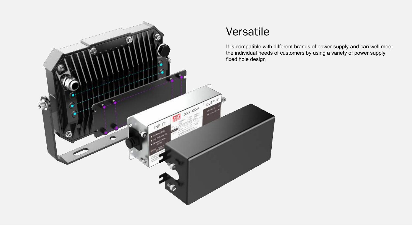

It is compatible with different brands of power supply and can well meet the individual needs of customers by using a variety of power supply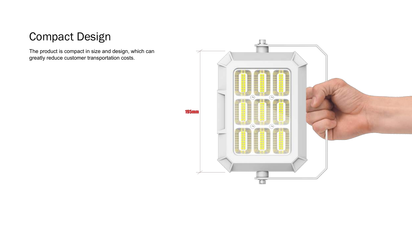## Compact Design

The product is compact in size and design, which can greatly reduce customer transportation costs.

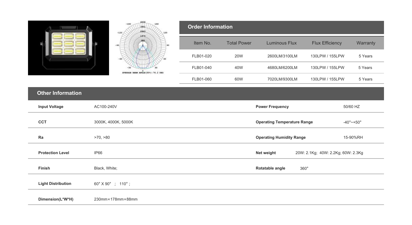|                           | 49,10<br>$-150$<br>150<br>1834<br>2263<br>$-120$<br>120 | <b>Order Information</b>                         |                                                            |                                |                        |          |
|---------------------------|---------------------------------------------------------|--------------------------------------------------|------------------------------------------------------------|--------------------------------|------------------------|----------|
|                           | 1975                                                    | Item No.                                         | <b>Total Power</b>                                         | <b>Luminous Flux</b>           | <b>Flux Efficiency</b> | Warranty |
|                           |                                                         | FLB01-020                                        | <b>20W</b>                                                 | 2600LM/3100LM                  | 130LPW / 155LPW        | 5 Years  |
|                           | AVERAGE BEAN ANGLE (501) : 76.2 DEG                     | FLB01-040                                        | 40W                                                        | 4680LM/6200LM                  | 130LPW / 155LPW        | 5 Years  |
|                           |                                                         | FLB01-060                                        | 60W                                                        | 7020LM/9300LM                  | 130LPW / 155LPW        | 5 Years  |
| <b>Other Information</b>  |                                                         |                                                  |                                                            |                                |                        |          |
| <b>Input Voltage</b>      | AC100-240V                                              |                                                  | <b>Power Frequency</b><br>50/60 HZ                         |                                |                        |          |
| CCT                       | 3000K, 4000K, 5000K                                     |                                                  | <b>Operating Temperature Range</b><br>$-40^{\circ}$ ~ +50° |                                |                        |          |
| Ra                        | >70, >80                                                |                                                  | <b>Operating Humidity Range</b><br>15-90%RH                |                                |                        |          |
| <b>Protection Level</b>   | <b>IP66</b>                                             | 20W: 2.1Kg; 40W: 2.2Kg; 60W: 2.3Kg<br>Net weight |                                                            |                                |                        |          |
| Finish                    | Black, White;                                           |                                                  |                                                            | Rotatable angle<br>$360^\circ$ |                        |          |
| <b>Light Distribution</b> | 60° X 90° ; 110° ;                                      |                                                  |                                                            |                                |                        |          |
| Dimension(L*W*H)          | 230mm×178mm×88mm                                        |                                                  |                                                            |                                |                        |          |